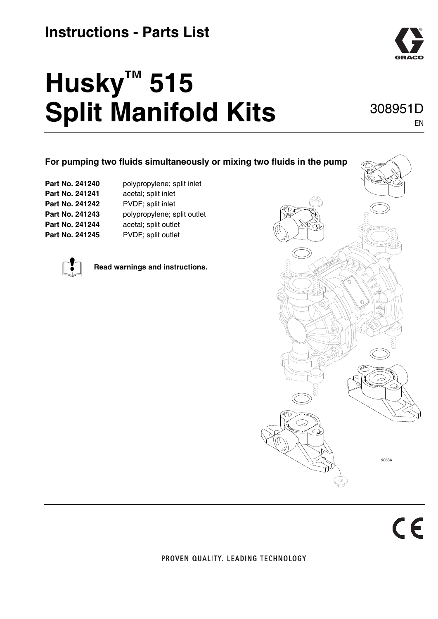### **Instructions - Parts List**

# **Husky™ 515 Split Manifold Kits** 308951D



#### PROVEN QUALITY. LEADING TECHNOLOGY.



EN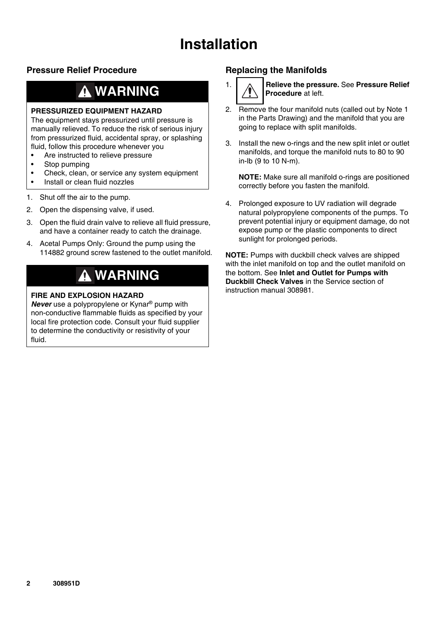### **Installation**

### <span id="page-1-0"></span>**Pressure Relief Procedure**

## **WARNING**

#### **PRESSURIZED EQUIPMENT HAZARD**

The equipment stays pressurized until pressure is manually relieved. To reduce the risk of serious injury from pressurized fluid, accidental spray, or splashing fluid, follow this procedure whenever you

- Are instructed to relieve pressure
- Stop pumping
- Check, clean, or service any system equipment
- Install or clean fluid nozzles
- 1. Shut off the air to the pump.
- 2. Open the dispensing valve, if used.
- 3. Open the fluid drain valve to relieve all fluid pressure, and have a container ready to catch the drainage.
- 4. Acetal Pumps Only: Ground the pump using the 114882 ground screw fastened to the outlet manifold.

### **WARNING**

### **FIRE AND EXPLOSION HAZARD**

*Never* use a polypropylene or Kynar® pump with non-conductive flammable fluids as specified by your local fire protection code. Consult your fluid supplier to determine the conductivity or resistivity of your fluid.

### **Replacing the Manifolds**



1. **Relieve the pressure.** See **[Pressure Relief](#page-1-0)  [Procedure](#page-1-0)** at left.

- 2. Remove the four manifold nuts (called out by Note 1 in the Parts Drawing) and the manifold that you are going to replace with split manifolds.
- 3. Install the new o-rings and the new split inlet or outlet manifolds, and torque the manifold nuts to 80 to 90 in-lb (9 to 10 N-m).

**NOTE:** Make sure all manifold o-rings are positioned correctly before you fasten the manifold.

4. Prolonged exposure to UV radiation will degrade natural polypropylene components of the pumps. To prevent potential injury or equipment damage, do not expose pump or the plastic components to direct sunlight for prolonged periods.

**NOTE:** Pumps with duckbill check valves are shipped with the inlet manifold on top and the outlet manifold on the bottom. See **Inlet and Outlet for Pumps with Duckbill Check Valves** in the Service section of instruction manual 308981.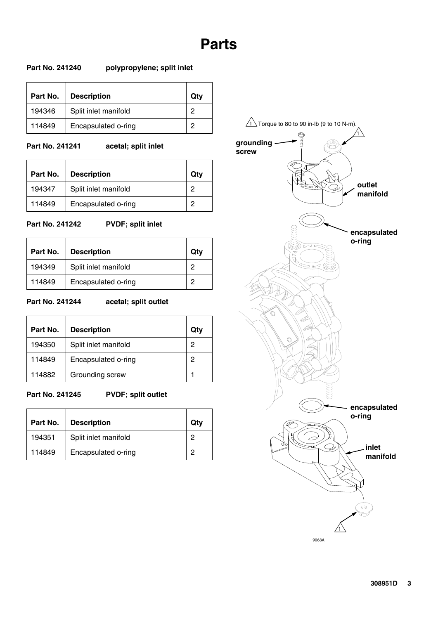### **Parts**

#### **Part No. 241240 polypropylene; split inlet**

| Part No. | <b>Description</b>   | Qtv |
|----------|----------------------|-----|
| 194346   | Split inlet manifold | 0   |
| 114849   | Encapsulated o-ring  | ≘   |

### **Part No. 241241 acetal; split inlet**

| Part No. | <b>Description</b>   | Qtv |
|----------|----------------------|-----|
| 194347   | Split inlet manifold |     |
| 114849   | Encapsulated o-ring  | 2   |

#### **Part No. 241242 PVDF; split inlet**

 $\overline{\phantom{0}}$ 

| Part No. | <b>Description</b>   | Qtv |
|----------|----------------------|-----|
| 194349   | Split inlet manifold | 2   |
| 114849   | Encapsulated o-ring  | 0   |

### **Part No. 241244 acetal; split outlet**

| Part No. | <b>Description</b>   | Qtv |
|----------|----------------------|-----|
| 194350   | Split inlet manifold | 2   |
| 114849   | Encapsulated o-ring  | 2   |
| 114882   | Grounding screw      |     |

#### Part No. 241245 PVDF; split outlet

| Part No. | <b>Description</b>   | Qtv |
|----------|----------------------|-----|
| 194351   | Split inlet manifold | Ω   |
| 114849   | Encapsulated o-ring  | 0   |